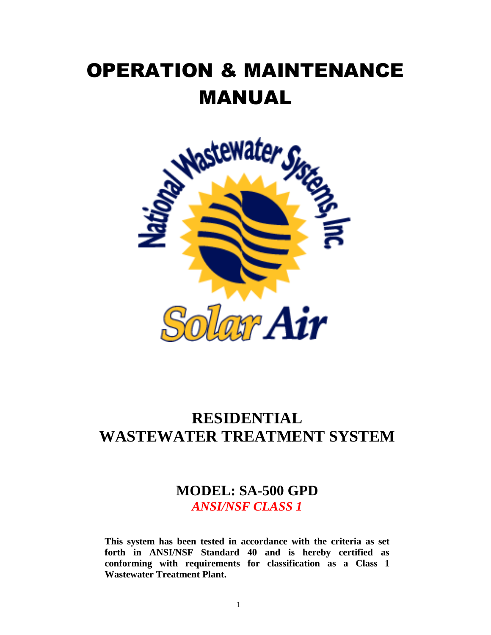# OPERATION & MAINTENANCE MANUAL



## **RESIDENTIAL WASTEWATER TREATMENT SYSTEM**

## **MODEL: SA-500 GPD** *ANSI/NSF CLASS 1*

**This system has been tested in accordance with the criteria as set forth in ANSI/NSF Standard 40 and is hereby certified as conforming with requirements for classification as a Class 1 Wastewater Treatment Plant.**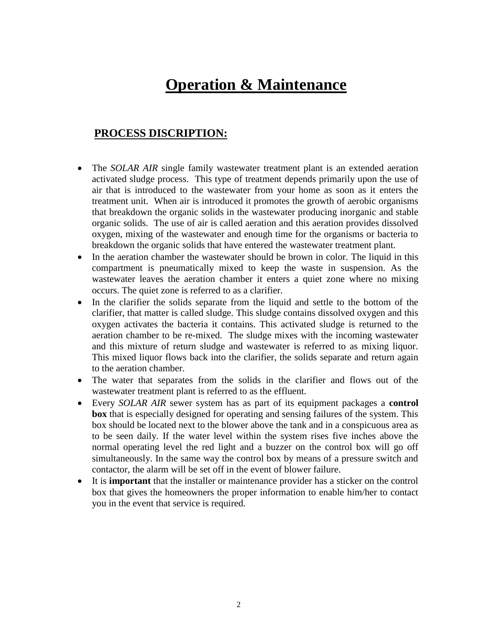## **Operation & Maintenance**

## **PROCESS DISCRIPTION:**

- The *SOLAR AIR* single family wastewater treatment plant is an extended aeration activated sludge process. This type of treatment depends primarily upon the use of air that is introduced to the wastewater from your home as soon as it enters the treatment unit. When air is introduced it promotes the growth of aerobic organisms that breakdown the organic solids in the wastewater producing inorganic and stable organic solids. The use of air is called aeration and this aeration provides dissolved oxygen, mixing of the wastewater and enough time for the organisms or bacteria to breakdown the organic solids that have entered the wastewater treatment plant.
- In the aeration chamber the wastewater should be brown in color. The liquid in this compartment is pneumatically mixed to keep the waste in suspension. As the wastewater leaves the aeration chamber it enters a quiet zone where no mixing occurs. The quiet zone is referred to as a clarifier.
- In the clarifier the solids separate from the liquid and settle to the bottom of the clarifier, that matter is called sludge. This sludge contains dissolved oxygen and this oxygen activates the bacteria it contains. This activated sludge is returned to the aeration chamber to be re-mixed. The sludge mixes with the incoming wastewater and this mixture of return sludge and wastewater is referred to as mixing liquor. This mixed liquor flows back into the clarifier, the solids separate and return again to the aeration chamber.
- The water that separates from the solids in the clarifier and flows out of the wastewater treatment plant is referred to as the effluent.
- Every *SOLAR AIR* sewer system has as part of its equipment packages a **control box** that is especially designed for operating and sensing failures of the system. This box should be located next to the blower above the tank and in a conspicuous area as to be seen daily. If the water level within the system rises five inches above the normal operating level the red light and a buzzer on the control box will go off simultaneously. In the same way the control box by means of a pressure switch and contactor, the alarm will be set off in the event of blower failure.
- It is **important** that the installer or maintenance provider has a sticker on the control box that gives the homeowners the proper information to enable him/her to contact you in the event that service is required.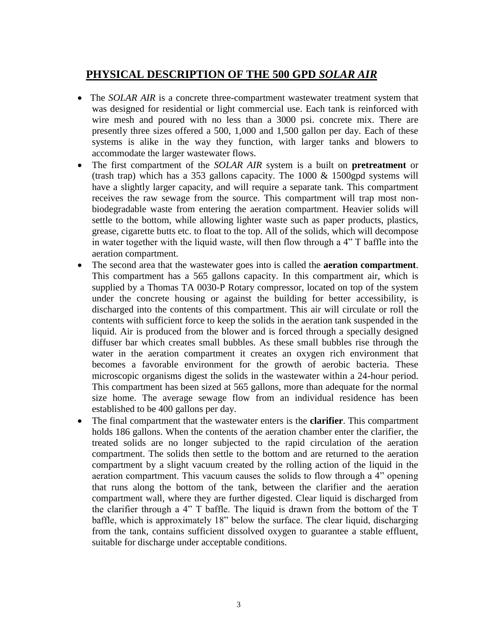## **PHYSICAL DESCRIPTION OF THE 500 GPD** *SOLAR AIR*

- The *SOLAR AIR* is a concrete three-compartment wastewater treatment system that was designed for residential or light commercial use. Each tank is reinforced with wire mesh and poured with no less than a 3000 psi. concrete mix. There are presently three sizes offered a 500, 1,000 and 1,500 gallon per day. Each of these systems is alike in the way they function, with larger tanks and blowers to accommodate the larger wastewater flows.
- The first compartment of the *SOLAR AIR* system is a built on **pretreatment** or (trash trap) which has a 353 gallons capacity. The 1000 & 1500gpd systems will have a slightly larger capacity, and will require a separate tank. This compartment receives the raw sewage from the source. This compartment will trap most nonbiodegradable waste from entering the aeration compartment. Heavier solids will settle to the bottom, while allowing lighter waste such as paper products, plastics, grease, cigarette butts etc. to float to the top. All of the solids, which will decompose in water together with the liquid waste, will then flow through a 4" T baffle into the aeration compartment.
- The second area that the wastewater goes into is called the **aeration compartment**. This compartment has a 565 gallons capacity. In this compartment air, which is supplied by a Thomas TA 0030-P Rotary compressor, located on top of the system under the concrete housing or against the building for better accessibility, is discharged into the contents of this compartment. This air will circulate or roll the contents with sufficient force to keep the solids in the aeration tank suspended in the liquid. Air is produced from the blower and is forced through a specially designed diffuser bar which creates small bubbles. As these small bubbles rise through the water in the aeration compartment it creates an oxygen rich environment that becomes a favorable environment for the growth of aerobic bacteria. These microscopic organisms digest the solids in the wastewater within a 24-hour period. This compartment has been sized at 565 gallons, more than adequate for the normal size home. The average sewage flow from an individual residence has been established to be 400 gallons per day.
- The final compartment that the wastewater enters is the **clarifier**. This compartment holds 186 gallons. When the contents of the aeration chamber enter the clarifier, the treated solids are no longer subjected to the rapid circulation of the aeration compartment. The solids then settle to the bottom and are returned to the aeration compartment by a slight vacuum created by the rolling action of the liquid in the aeration compartment. This vacuum causes the solids to flow through a 4" opening that runs along the bottom of the tank, between the clarifier and the aeration compartment wall, where they are further digested. Clear liquid is discharged from the clarifier through a 4" T baffle. The liquid is drawn from the bottom of the T baffle, which is approximately 18" below the surface. The clear liquid, discharging from the tank, contains sufficient dissolved oxygen to guarantee a stable effluent, suitable for discharge under acceptable conditions.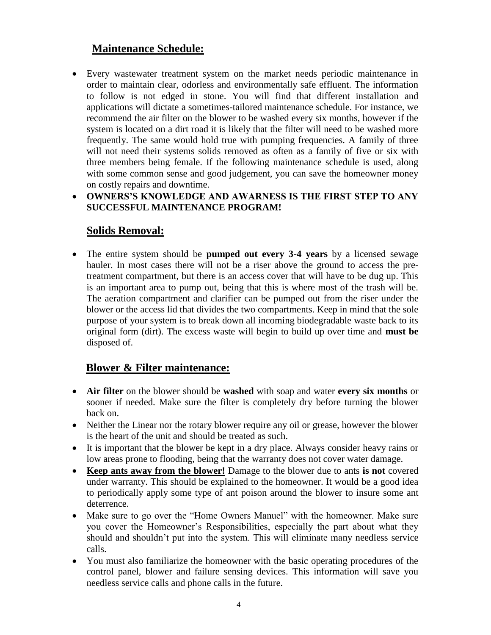## **Maintenance Schedule:**

- Every wastewater treatment system on the market needs periodic maintenance in order to maintain clear, odorless and environmentally safe effluent. The information to follow is not edged in stone. You will find that different installation and applications will dictate a sometimes-tailored maintenance schedule. For instance, we recommend the air filter on the blower to be washed every six months, however if the system is located on a dirt road it is likely that the filter will need to be washed more frequently. The same would hold true with pumping frequencies. A family of three will not need their systems solids removed as often as a family of five or six with three members being female. If the following maintenance schedule is used, along with some common sense and good judgement, you can save the homeowner money on costly repairs and downtime.
- **OWNERS'S KNOWLEDGE AND AWARNESS IS THE FIRST STEP TO ANY SUCCESSFUL MAINTENANCE PROGRAM!**

## **Solids Removal:**

 The entire system should be **pumped out every 3-4 years** by a licensed sewage hauler. In most cases there will not be a riser above the ground to access the pretreatment compartment, but there is an access cover that will have to be dug up. This is an important area to pump out, being that this is where most of the trash will be. The aeration compartment and clarifier can be pumped out from the riser under the blower or the access lid that divides the two compartments. Keep in mind that the sole purpose of your system is to break down all incoming biodegradable waste back to its original form (dirt). The excess waste will begin to build up over time and **must be** disposed of.

## **Blower & Filter maintenance:**

- **Air filter** on the blower should be **washed** with soap and water **every six months** or sooner if needed. Make sure the filter is completely dry before turning the blower back on.
- Neither the Linear nor the rotary blower require any oil or grease, however the blower is the heart of the unit and should be treated as such.
- It is important that the blower be kept in a dry place. Always consider heavy rains or low areas prone to flooding, being that the warranty does not cover water damage.
- **Keep ants away from the blower!** Damage to the blower due to ants **is not** covered under warranty. This should be explained to the homeowner. It would be a good idea to periodically apply some type of ant poison around the blower to insure some ant deterrence.
- Make sure to go over the "Home Owners Manuel" with the homeowner. Make sure you cover the Homeowner's Responsibilities, especially the part about what they should and shouldn't put into the system. This will eliminate many needless service calls.
- You must also familiarize the homeowner with the basic operating procedures of the control panel, blower and failure sensing devices. This information will save you needless service calls and phone calls in the future.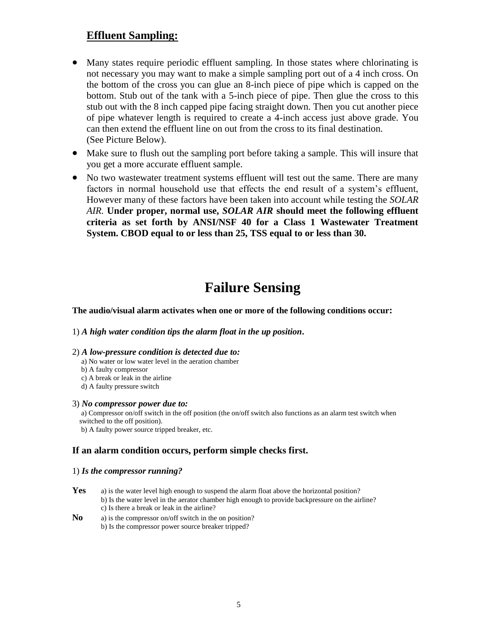### **Effluent Sampling:**

- Many states require periodic effluent sampling. In those states where chlorinating is not necessary you may want to make a simple sampling port out of a 4 inch cross. On the bottom of the cross you can glue an 8-inch piece of pipe which is capped on the bottom. Stub out of the tank with a 5-inch piece of pipe. Then glue the cross to this stub out with the 8 inch capped pipe facing straight down. Then you cut another piece of pipe whatever length is required to create a 4-inch access just above grade. You can then extend the effluent line on out from the cross to its final destination. (See Picture Below).
- Make sure to flush out the sampling port before taking a sample. This will insure that you get a more accurate effluent sample.
- No two wastewater treatment systems effluent will test out the same. There are many factors in normal household use that effects the end result of a system's effluent, However many of these factors have been taken into account while testing the *SOLAR AIR.* **Under proper, normal use,** *SOLAR AIR* **should meet the following effluent criteria as set forth by ANSI/NSF 40 for a Class 1 Wastewater Treatment System. CBOD equal to or less than 25, TSS equal to or less than 30.**

## **Failure Sensing**

#### **The audio/visual alarm activates when one or more of the following conditions occur:**

#### 1) *A high water condition tips the alarm float in the up position***.**

#### 2) *A low-pressure condition is detected due to:*

- a) No water or low water level in the aeration chamber
- b) A faulty compressor
- c) A break or leak in the airline
- d) A faulty pressure switch

#### 3) *No compressor power due to:*

a) Compressor on/off switch in the off position (the on/off switch also functions as an alarm test switch when switched to the off position).

b) A faulty power source tripped breaker, etc.

#### **If an alarm condition occurs, perform simple checks first.**

#### 1) *Is the compressor running?*

- **Yes** a) is the water level high enough to suspend the alarm float above the horizontal position? b) Is the water level in the aerator chamber high enough to provide backpressure on the airline? c) Is there a break or leak in the airline?
- **No** a) is the compressor on/off switch in the on position?
	- b) Is the compressor power source breaker tripped?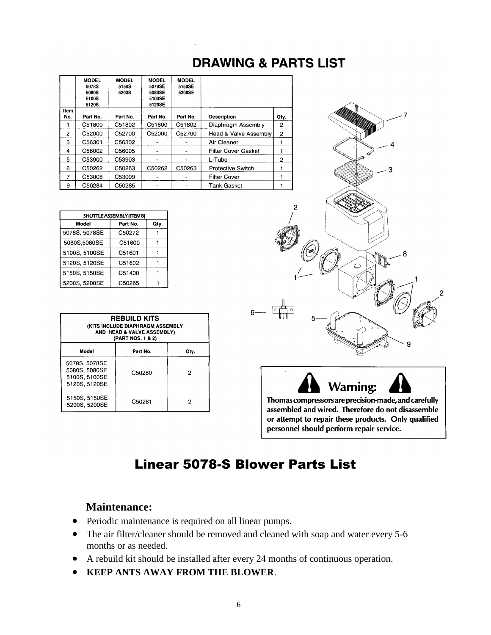|                | <b>MODEL</b><br>5078S<br>5080S<br>5100S<br>5120S | <b>MODEL</b><br>5150S<br>5200S | <b>MODEL</b><br>5078SE<br>5080SE<br>5100SE<br>5120SE | <b>MODEL</b><br>5150SE<br>5200SE |                            |                |
|----------------|--------------------------------------------------|--------------------------------|------------------------------------------------------|----------------------------------|----------------------------|----------------|
| Item<br>No.    | Part No.                                         | Part No.                       | Part No.                                             | Part No.                         | <b>Description</b>         | Qty.           |
|                | C51800                                           | C51802                         | C51800                                               | C51802                           | Diaphragm Assembly         | 2              |
| $\overline{2}$ | C52000                                           | C52700                         | C52000                                               | C52700                           | Head & Valve Assembly      | $\overline{2}$ |
| 3              | C56301                                           | C56302                         |                                                      |                                  | Air Cleaner                |                |
| 4              | C56002                                           | C56005                         |                                                      |                                  | <b>Filter Cover Gasket</b> |                |
| 5              | C53900                                           | C53903                         |                                                      |                                  | L-Tube                     | 2              |
| 6              | C50262                                           | C50263                         | C50262                                               | C50263                           | Protective Switch          |                |
| 7              | C53008                                           | C53009                         |                                                      |                                  | <b>Filter Cover</b>        |                |
| 9              | C50284                                           | C50285                         |                                                      |                                  | <b>Tank Gasket</b>         |                |

| SHUTTLE ASSEMBLY (ITEM 8) |          |      |  |  |  |  |
|---------------------------|----------|------|--|--|--|--|
| Model                     | Part No. | Qty. |  |  |  |  |
| 5078S, 5078SE             | C50272   |      |  |  |  |  |
| 5080S,5080SE              | C51600   |      |  |  |  |  |
| 5100S, 5100SE             | C51601   |      |  |  |  |  |
| 5120S, 5120SE             | C51602   |      |  |  |  |  |
| 5150S, 5150SE             | C51400   |      |  |  |  |  |
| 5200S, 5200SE             | C50265   |      |  |  |  |  |

| <b>REBUILD KITS</b><br>(KITS INCLUDE DIAPHRAGM ASSEMBLY<br>AND HEAD & VALVE ASSEMBLY)<br>(PART NOS. 1 & 2) |          |      |  |  |  |
|------------------------------------------------------------------------------------------------------------|----------|------|--|--|--|
| Model                                                                                                      | Part No. | Qty. |  |  |  |
| 5078S, 5078SE<br>5080S, 5080SE<br>5100S, 5100SE<br>5120S, 5120SE                                           | C50280   | 2    |  |  |  |
| 5150S, 5150SE<br>5200S, 5200SE                                                                             | C50281   | 2    |  |  |  |



personnel should perform repair service.

## Linear 5078-S Blower Parts List

**DRAWING & PARTS LIST** 

### **Maintenance:**

- Periodic maintenance is required on all linear pumps.
- The air filter/cleaner should be removed and cleaned with soap and water every 5-6 months or as needed.
- A rebuild kit should be installed after every 24 months of continuous operation.
- **KEEP ANTS AWAY FROM THE BLOWER**.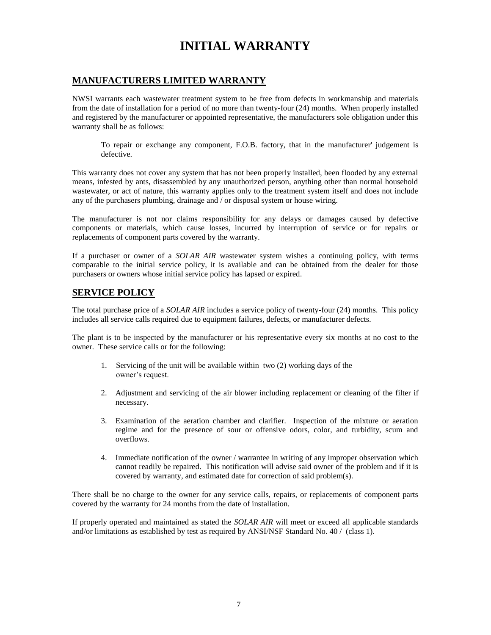## **INITIAL WARRANTY**

#### **MANUFACTURERS LIMITED WARRANTY**

NWSI warrants each wastewater treatment system to be free from defects in workmanship and materials from the date of installation for a period of no more than twenty-four (24) months. When properly installed and registered by the manufacturer or appointed representative, the manufacturers sole obligation under this warranty shall be as follows:

To repair or exchange any component, F.O.B. factory, that in the manufacturer' judgement is defective.

This warranty does not cover any system that has not been properly installed, been flooded by any external means, infested by ants, disassembled by any unauthorized person, anything other than normal household wastewater, or act of nature, this warranty applies only to the treatment system itself and does not include any of the purchasers plumbing, drainage and / or disposal system or house wiring.

The manufacturer is not nor claims responsibility for any delays or damages caused by defective components or materials, which cause losses, incurred by interruption of service or for repairs or replacements of component parts covered by the warranty.

If a purchaser or owner of a *SOLAR AIR* wastewater system wishes a continuing policy, with terms comparable to the initial service policy, it is available and can be obtained from the dealer for those purchasers or owners whose initial service policy has lapsed or expired.

#### **SERVICE POLICY**

The total purchase price of a *SOLAR AIR* includes a service policy of twenty-four (24) months. This policy includes all service calls required due to equipment failures, defects, or manufacturer defects.

The plant is to be inspected by the manufacturer or his representative every six months at no cost to the owner. These service calls or for the following:

- 1. Servicing of the unit will be available within two (2) working days of the owner's request.
- 2. Adjustment and servicing of the air blower including replacement or cleaning of the filter if necessary.
- 3. Examination of the aeration chamber and clarifier. Inspection of the mixture or aeration regime and for the presence of sour or offensive odors, color, and turbidity, scum and overflows.
- 4. Immediate notification of the owner / warrantee in writing of any improper observation which cannot readily be repaired. This notification will advise said owner of the problem and if it is covered by warranty, and estimated date for correction of said problem(s).

There shall be no charge to the owner for any service calls, repairs, or replacements of component parts covered by the warranty for 24 months from the date of installation.

If properly operated and maintained as stated the *SOLAR AIR* will meet or exceed all applicable standards and/or limitations as established by test as required by ANSI/NSF Standard No. 40 / (class 1).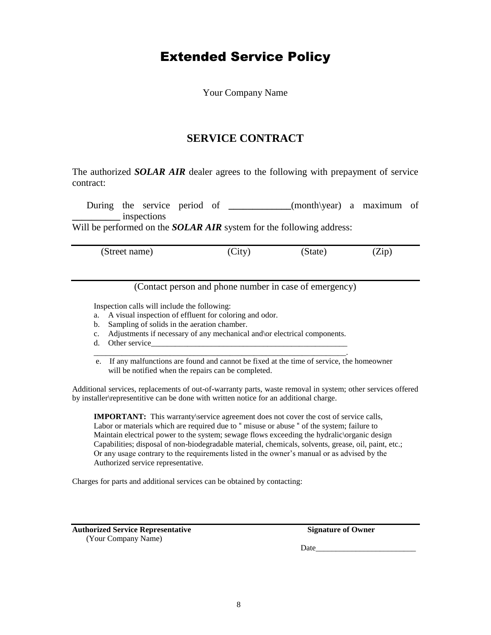## Extended Service Policy

Your Company Name

## **SERVICE CONTRACT**

The authorized *SOLAR AIR* dealer agrees to the following with prepayment of service contract:

 During the service period of **\_\_\_\_\_\_\_\_\_\_\_\_\_**(month\year) a maximum of **\_\_\_\_\_\_\_\_\_\_** inspections

Will be performed on the **SOLAR AIR** system for the following address:

(Street name) (City) (State) (Zip)

(Contact person and phone number in case of emergency)

Inspection calls will include the following:

a. A visual inspection of effluent for coloring and odor.

- b. Sampling of solids in the aeration chamber.
- c. Adjustments if necessary of any mechanical and\or electrical components.
- d. Other service \_\_\_\_\_\_\_\_\_\_\_\_\_\_\_\_\_\_\_\_\_\_\_\_\_\_\_\_\_\_\_\_\_\_\_\_\_\_\_\_\_\_\_\_\_\_\_\_\_\_\_\_\_\_\_\_\_\_\_\_\_\_\_.
- e. If any malfunctions are found and cannot be fixed at the time of service, the homeowner will be notified when the repairs can be completed.

Additional services, replacements of out-of-warranty parts, waste removal in system; other services offered by installer\representitive can be done with written notice for an additional charge.

**IMPORTANT:** This warranty\service agreement does not cover the cost of service calls, Labor or materials which are required due to " misuse or abuse " of the system; failure to Maintain electrical power to the system; sewage flows exceeding the hydralic\organic design Capabilities; disposal of non-biodegradable material, chemicals, solvents, grease, oil, paint, etc.; Or any usage contrary to the requirements listed in the owner's manual or as advised by the Authorized service representative.

Charges for parts and additional services can be obtained by contacting:

**Authorized Service Representative Signature of Owner** (Your Company Name)

Date